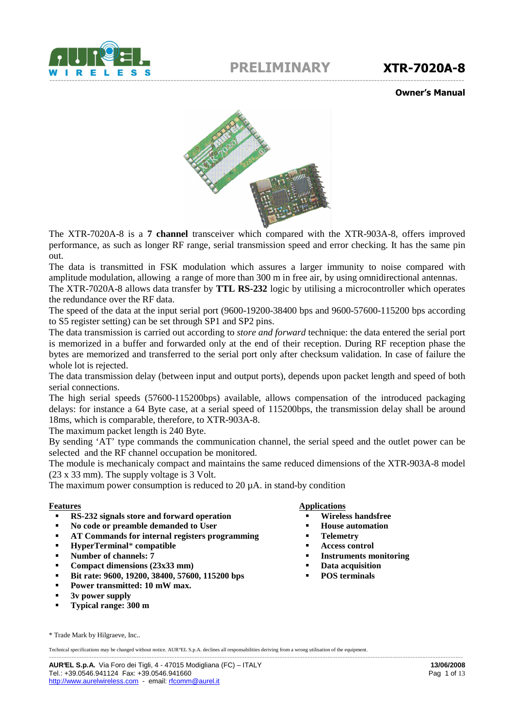

Owner's Manual



The XTR-7020A-8 is a **7 channel** transceiver which compared with the XTR-903A-8, offers improved performance, as such as longer RF range, serial transmission speed and error checking. It has the same pin out.

The data is transmitted in FSK modulation which assures a larger immunity to noise compared with amplitude modulation, allowing a range of more than 300 m in free air, by using omnidirectional antennas.

The XTR-7020A-8 allows data transfer by **TTL RS-232** logic by utilising a microcontroller which operates the redundance over the RF data.

The speed of the data at the input serial port (9600-19200-38400 bps and 9600-57600-115200 bps according to S5 register setting) can be set through SP1 and SP2 pins.

The data transmission is carried out according to *store and forward* technique: the data entered the serial port is memorized in a buffer and forwarded only at the end of their reception. During RF reception phase the bytes are memorized and transferred to the serial port only after checksum validation. In case of failure the whole lot is rejected.

The data transmission delay (between input and output ports), depends upon packet length and speed of both serial connections.

The high serial speeds (57600-115200bps) available, allows compensation of the introduced packaging delays: for instance a 64 Byte case, at a serial speed of 115200bps, the transmission delay shall be around 18ms, which is comparable, therefore, to XTR-903A-8.

The maximum packet length is 240 Byte.

By sending 'AT' type commands the communication channel, the serial speed and the outlet power can be selected and the RF channel occupation be monitored.

The module is mechanicaly compact and maintains the same reduced dimensions of the XTR-903A-8 model (23 x 33 mm). The supply voltage is 3 Volt.

The maximum power consumption is reduced to  $20 \mu A$ . in stand-by condition

- **RS-232 signals store and forward operation**
- **No code or preamble demanded to User**
- **AT Commands for internal registers programming**
- **HyperTerminal**\* **compatible**
- **Number of channels: 7**
- **Compact dimensions (23x33 mm)**
- **Bit rate: 9600, 19200, 38400, 57600, 115200 bps**
- **Power transmitted: 10 mW max.**
- **3v power supply**
- **Typical range: 300 m**

#### **Features** Applications

- **Wireless handsfree**
- **House automation**
- **Telemetry**
- **Access control**
- **Instruments monitoring**
- **Data acquisition**
- **POS terminals**

\* Trade Mark by Hilgraeve, Inc..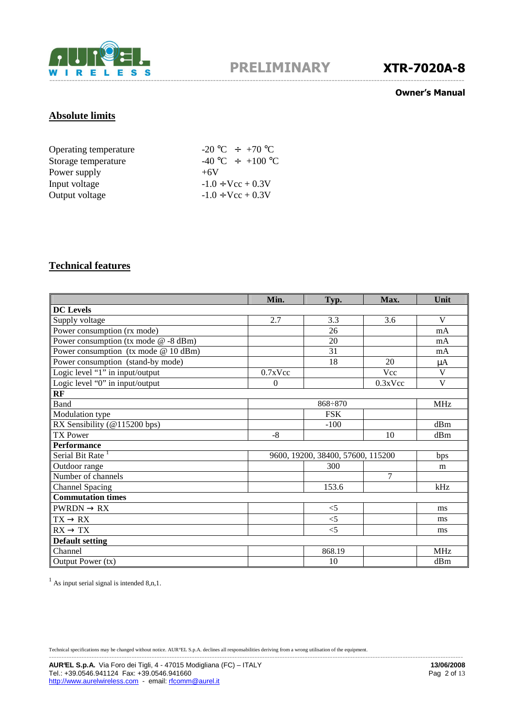

#### Owner's Manual

# **Absolute limits**

| Operating temperature | $-20\,^{\circ}\text{C}$ $\div$ $+70\,^{\circ}\text{C}$ |
|-----------------------|--------------------------------------------------------|
| Storage temperature   | $-40\degree C \div +100\degree C$                      |
| Power supply          | $+6V$                                                  |
| Input voltage         | $-1.0 \div \text{Vcc} + 0.3 \text{V}$                  |
| Output voltage        | $-1.0 \div \text{Vcc} + 0.3 \text{V}$                  |

# **Technical features**

|                                         | Min.       | Typ.                              | Max.    | Unit       |
|-----------------------------------------|------------|-----------------------------------|---------|------------|
| <b>DC</b> Levels                        |            |                                   |         |            |
| Supply voltage                          | 2.7        | 3.3                               | 3.6     | V          |
| Power consumption (rx mode)             |            | 26                                |         | mA         |
| Power consumption (tx mode $@ - 8$ dBm) |            | 20                                |         | mA         |
| Power consumption (tx mode $@ 10$ dBm)  |            | 31                                |         | mA         |
| Power consumption (stand-by mode)       |            | 18                                | 20      | μA         |
| Logic level "1" in input/output         | $0.7x$ Vcc |                                   | Vcc     | V          |
| Logic level "0" in input/output         | $\Omega$   |                                   | 0.3xVec | V          |
| RF                                      |            |                                   |         |            |
| Band                                    |            | $868 \div 870$                    |         | <b>MHz</b> |
| Modulation type                         |            | <b>FSK</b>                        |         |            |
| RX Sensibility (@115200 bps)            |            | $-100$                            |         | dBm        |
| <b>TX Power</b>                         | $-8$       |                                   | 10      | dBm        |
| Performance                             |            |                                   |         |            |
| Serial Bit Rate <sup>1</sup>            |            | 9600, 19200, 38400, 57600, 115200 |         | bps        |
| Outdoor range                           |            | 300                               |         | m          |
| Number of channels                      |            |                                   | 7       |            |
| <b>Channel Spacing</b>                  |            | 153.6                             |         | kHz        |
| <b>Commutation times</b>                |            |                                   |         |            |
| $PWRDN \rightarrow RX$                  |            | $<$ 5                             |         | ms         |
| $TX \rightarrow RX$                     |            | $\leq$ 5                          |         | ms         |
| $RX \rightarrow TX$                     |            | $<$ 5                             |         | ms         |
| <b>Default setting</b>                  |            |                                   |         |            |
| Channel                                 |            | 868.19                            |         | <b>MHz</b> |
| Output Power (tx)                       |            | 10                                |         | dBm        |

 $<sup>1</sup>$  As input serial signal is intended 8,n, 1.</sup>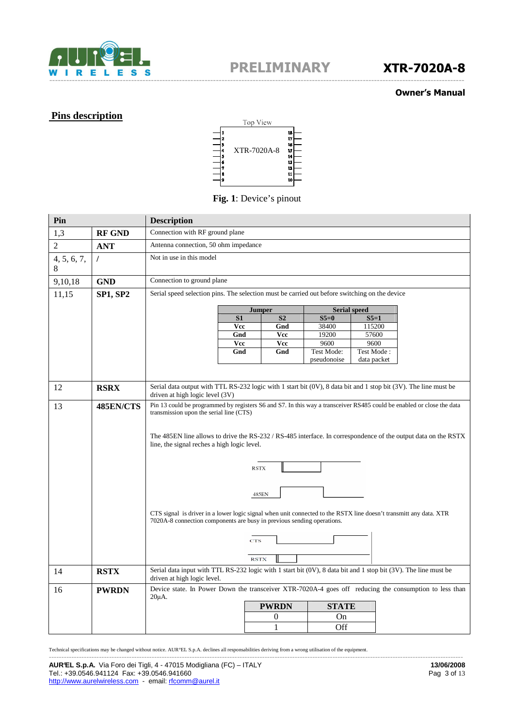

#### Owner's Manual

# **Pins description**



#### **Fig. 1**: Device's pinout

| Pin              |                 | <b>Description</b>                                                                                                                                  |                              |             |                     |  |
|------------------|-----------------|-----------------------------------------------------------------------------------------------------------------------------------------------------|------------------------------|-------------|---------------------|--|
| 1,3              | <b>RF GND</b>   | Connection with RF ground plane                                                                                                                     |                              |             |                     |  |
| $\overline{2}$   | <b>ANT</b>      | Antenna connection, 50 ohm impedance                                                                                                                |                              |             |                     |  |
| 4, 5, 6, 7,<br>8 | $\prime$        | Not in use in this model                                                                                                                            |                              |             |                     |  |
| 9,10,18          | <b>GND</b>      | Connection to ground plane                                                                                                                          |                              |             |                     |  |
| 11,15            | <b>SP1, SP2</b> | Serial speed selection pins. The selection must be carried out before switching on the device                                                       |                              |             |                     |  |
|                  |                 |                                                                                                                                                     | <b>Jumper</b>                |             | <b>Serial speed</b> |  |
|                  |                 | S1                                                                                                                                                  | S <sub>2</sub>               | $S5=0$      | $S5=1$              |  |
|                  |                 | Vcc                                                                                                                                                 | Gnd                          | 38400       | 115200              |  |
|                  |                 | Gnd                                                                                                                                                 | Vcc                          | 19200       | 57600               |  |
|                  |                 | Vcc                                                                                                                                                 | Vcc                          | 9600        | 9600                |  |
|                  |                 | Gnd                                                                                                                                                 | Gnd                          | Test Mode:  | Test Mode:          |  |
|                  |                 |                                                                                                                                                     |                              | pseudonoise | data packet         |  |
|                  |                 |                                                                                                                                                     |                              |             |                     |  |
| 12               | <b>RSRX</b>     | Serial data output with TTL RS-232 logic with 1 start bit (0V), 8 data bit and 1 stop bit (3V). The line must be<br>driven at high logic level (3V) |                              |             |                     |  |
| 13               | 485EN/CTS       | Pin 13 could be programmed by registers S6 and S7. In this way a transceiver RS485 could be enabled or close the data                               |                              |             |                     |  |
|                  |                 | transmission upon the serial line (CTS)                                                                                                             |                              |             |                     |  |
|                  |                 |                                                                                                                                                     |                              |             |                     |  |
|                  |                 | The 485EN line allows to drive the RS-232 / RS-485 interface. In correspondence of the output data on the RSTX                                      |                              |             |                     |  |
|                  |                 | line, the signal reches a high logic level.                                                                                                         |                              |             |                     |  |
|                  |                 |                                                                                                                                                     |                              |             |                     |  |
|                  |                 |                                                                                                                                                     | <b>RSTX</b>                  |             |                     |  |
|                  |                 |                                                                                                                                                     |                              |             |                     |  |
|                  |                 |                                                                                                                                                     |                              |             |                     |  |
|                  |                 | 485EN                                                                                                                                               |                              |             |                     |  |
|                  |                 |                                                                                                                                                     |                              |             |                     |  |
|                  |                 | CTS signal is driver in a lower logic signal when unit connected to the RSTX line doesn't transmitt any data. XTR                                   |                              |             |                     |  |
|                  |                 | 7020A-8 connection components are busy in previous sending operations.                                                                              |                              |             |                     |  |
|                  |                 |                                                                                                                                                     |                              |             |                     |  |
|                  |                 | CTS                                                                                                                                                 |                              |             |                     |  |
|                  |                 |                                                                                                                                                     |                              |             |                     |  |
|                  |                 | <b>RSTX</b>                                                                                                                                         |                              |             |                     |  |
| 14               | <b>RSTX</b>     | Serial data input with TTL RS-232 logic with 1 start bit (0V), 8 data bit and 1 stop bit (3V). The line must be<br>driven at high logic level.      |                              |             |                     |  |
| 16               | <b>PWRDN</b>    | Device state. In Power Down the transceiver XTR-7020A-4 goes off reducing the consumption to less than<br>$20\mu$ A.                                |                              |             |                     |  |
|                  |                 |                                                                                                                                                     | <b>PWRDN</b><br><b>STATE</b> |             |                     |  |
|                  |                 |                                                                                                                                                     | $\boldsymbol{0}$<br>On       |             |                     |  |
|                  |                 |                                                                                                                                                     | 1                            | Off         |                     |  |

Technical specifications may be changed without notice. AUR°EL S.p.A. declines all responsabilities deriving from a wrong utilisation of the equipment.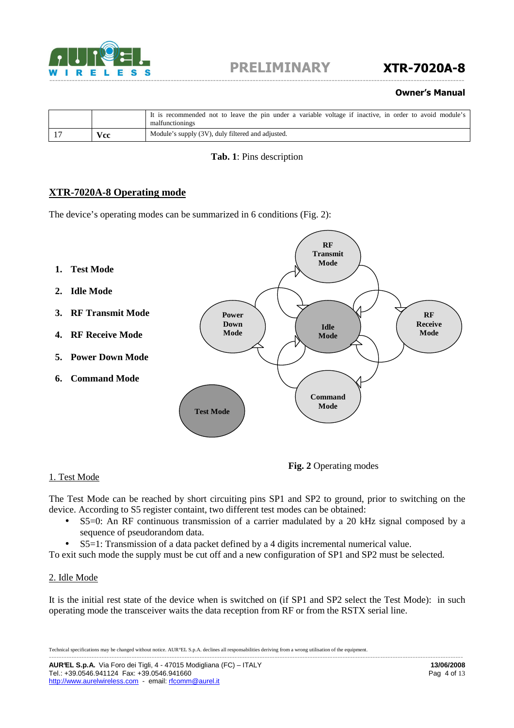

#### Owner's Manual

|               | It is recommended not to leave the pin under a variable voltage if inactive, in order to avoid module's<br>malfunctionings |
|---------------|----------------------------------------------------------------------------------------------------------------------------|
| $\bf{v_{cc}}$ | Module's supply (3V), duly filtered and adjusted.                                                                          |

#### **Tab. 1**: Pins description

### **XTR-7020A-8 Operating mode**

The device's operating modes can be summarized in 6 conditions (Fig. 2):



#### 1. Test Mode

The Test Mode can be reached by short circuiting pins SP1 and SP2 to ground, prior to switching on the device. According to S5 register containt, two different test modes can be obtained:

• S5=0: An RF continuous transmission of a carrier madulated by a 20 kHz signal composed by a sequence of pseudorandom data.

**Fig. 2** Operating modes

• S5=1: Transmission of a data packet defined by a 4 digits incremental numerical value.

To exit such mode the supply must be cut off and a new configuration of SP1 and SP2 must be selected.

#### 2. Idle Mode

It is the initial rest state of the device when is switched on (if SP1 and SP2 select the Test Mode): in such operating mode the transceiver waits the data reception from RF or from the RSTX serial line.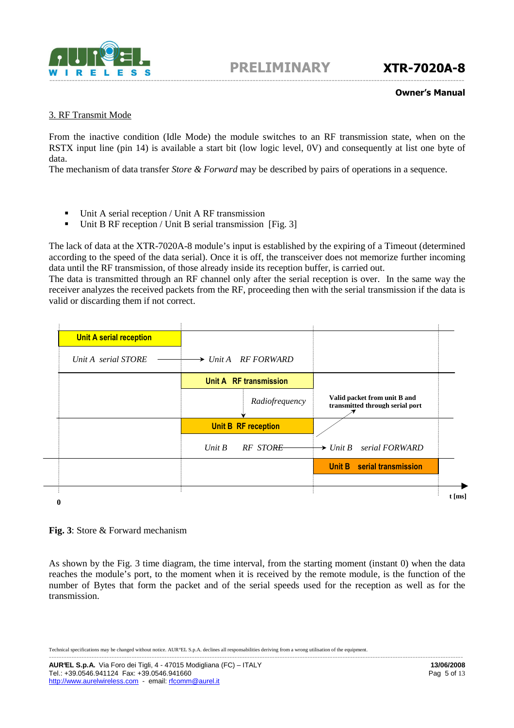

#### Owner's Manual

#### 3. RF Transmit Mode

From the inactive condition (Idle Mode) the module switches to an RF transmission state, when on the RSTX input line (pin 14) is available a start bit (low logic level, 0V) and consequently at list one byte of data.

The mechanism of data transfer *Store & Forward* may be described by pairs of operations in a sequence.

- Unit A serial reception / Unit A RF transmission
- Unit B RF reception / Unit B serial transmission [Fig. 3]

The lack of data at the XTR-7020A-8 module's input is established by the expiring of a Timeout (determined according to the speed of the data serial). Once it is off, the transceiver does not memorize further incoming data until the RF transmission, of those already inside its reception buffer, is carried out.

The data is transmitted through an RF channel only after the serial reception is over. In the same way the receiver analyzes the received packets from the RF, proceeding then with the serial transmission if the data is valid or discarding them if not correct.

| <b>Unit A serial reception</b> |                                 |                                                                 |
|--------------------------------|---------------------------------|-----------------------------------------------------------------|
| Unit A serial STORE            | $\rightarrow$ Unit A RF FORWARD |                                                                 |
|                                | Unit A RF transmission          |                                                                 |
|                                | Radiofrequency                  | Valid packet from unit B and<br>transmitted through serial port |
|                                | <b>Unit B RF reception</b>      |                                                                 |
|                                | Unit $B$<br>RF STORE            | $\rightarrow$ Unit B serial FORWARD                             |
|                                |                                 | Unit B serial transmission                                      |
|                                |                                 |                                                                 |
|                                |                                 |                                                                 |

#### **Fig. 3**: Store & Forward mechanism

As shown by the Fig. 3 time diagram, the time interval, from the starting moment (instant 0) when the data reaches the module's port, to the moment when it is received by the remote module, is the function of the number of Bytes that form the packet and of the serial speeds used for the reception as well as for the transmission.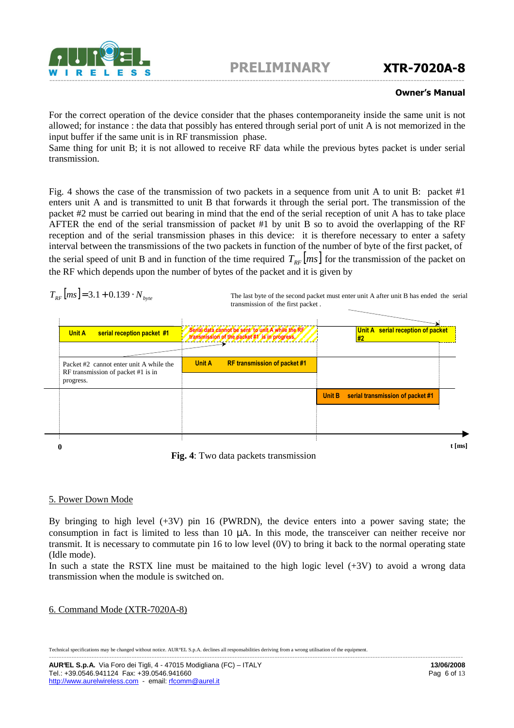

#### Owner's Manual

For the correct operation of the device consider that the phases contemporaneity inside the same unit is not allowed; for instance : the data that possibly has entered through serial port of unit A is not memorized in the input buffer if the same unit is in RF transmission phase.

Same thing for unit B; it is not allowed to receive RF data while the previous bytes packet is under serial transmission.

Fig. 4 shows the case of the transmission of two packets in a sequence from unit A to unit B: packet #1 enters unit A and is transmitted to unit B that forwards it through the serial port. The transmission of the packet #2 must be carried out bearing in mind that the end of the serial reception of unit A has to take place AFTER the end of the serial transmission of packet #1 by unit B so to avoid the overlapping of the RF reception and of the serial transmission phases in this device: it is therefore necessary to enter a safety interval between the transmissions of the two packets in function of the number of byte of the first packet, of the serial speed of unit B and in function of the time required  $T_{\text{RF}}[ms]$  for the transmission of the packet on the RF which depends upon the number of bytes of the packet and it is given by

$$
T_{RF}[ms] = 3.1 + 0.139 \cdot N_{byte}
$$

The last byte of the second packet must enter unit A after unit B has ended the serial transmission of the first packet .

| Unit A serial reception of packet<br>#2 |        | Serial data cannot be sent to unit A while the RF<br>transmission of the packet #1 is in progress. | serial reception packet #1                                                    | Unit A    |
|-----------------------------------------|--------|----------------------------------------------------------------------------------------------------|-------------------------------------------------------------------------------|-----------|
|                                         |        | <b>Unit A</b><br><b>RF transmission of packet #1</b>                                               | Packet #2 cannot enter unit A while the<br>RF transmission of packet #1 is in | progress. |
| serial transmission of packet #1        | Unit B |                                                                                                    |                                                                               |           |
|                                         |        |                                                                                                    |                                                                               |           |
|                                         |        |                                                                                                    |                                                                               |           |

**Fig. 4**: Two data packets transmission

### 5. Power Down Mode

By bringing to high level  $(+3V)$  pin 16 (PWRDN), the device enters into a power saving state; the consumption in fact is limited to less than 10 µA. In this mode, the transceiver can neither receive nor transmit. It is necessary to commutate pin 16 to low level (0V) to bring it back to the normal operating state (Idle mode).

In such a state the RSTX line must be maitained to the high logic level  $(+3V)$  to avoid a wrong data transmission when the module is switched on.

#### 6. Command Mode (XTR-7020A-8)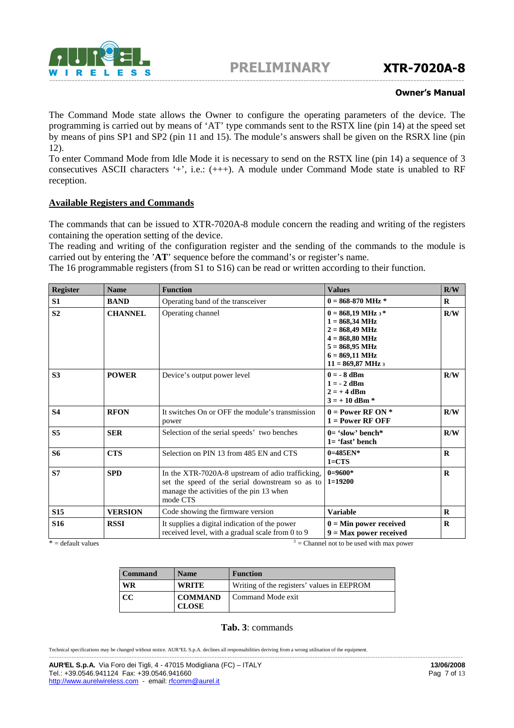

#### Owner's Manual

The Command Mode state allows the Owner to configure the operating parameters of the device. The programming is carried out by means of 'AT' type commands sent to the RSTX line (pin 14) at the speed set by means of pins SP1 and SP2 (pin 11 and 15). The module's answers shall be given on the RSRX line (pin 12).

To enter Command Mode from Idle Mode it is necessary to send on the RSTX line (pin 14) a sequence of 3 consecutives ASCII characters '+', i.e.: (+++). A module under Command Mode state is unabled to RF reception.

#### **Available Registers and Commands**

The commands that can be issued to XTR-7020A-8 module concern the reading and writing of the registers containing the operation setting of the device.

The reading and writing of the configuration register and the sending of the commands to the module is carried out by entering the '**AT**' sequence before the command's or register's name.

The 16 programmable registers (from S1 to S16) can be read or written according to their function.

| Register        | <b>Name</b>    | <b>Function</b>                                                                                                                                             | <b>Values</b>                                                                                                                                                                                         | R/W         |
|-----------------|----------------|-------------------------------------------------------------------------------------------------------------------------------------------------------------|-------------------------------------------------------------------------------------------------------------------------------------------------------------------------------------------------------|-------------|
| S1              | <b>BAND</b>    | Operating band of the transceiver                                                                                                                           | $0 = 868 - 870$ MHz *                                                                                                                                                                                 | $\bf{R}$    |
| S <sub>2</sub>  | <b>CHANNEL</b> | Operating channel                                                                                                                                           | $0 = 868,19 \text{ MHz }$ 3*<br>$1 = 868,34 \text{ MHz}$<br>$2 = 868,49 \text{ MHz}$<br>$4 = 868,80 \text{ MHz}$<br>$5 = 868,95 \text{ MHz}$<br>$6 = 869.11 \text{ MHz}$<br>$11 = 869,87 \text{ MHz}$ | R/W         |
| S <sub>3</sub>  | <b>POWER</b>   | Device's output power level                                                                                                                                 | $0 = -8$ dBm<br>$1 = -2$ dBm<br>$2 = +4$ dBm<br>$3 = +10$ dBm $*$                                                                                                                                     | R/W         |
| <b>S4</b>       | <b>RFON</b>    | It switches On or OFF the module's transmission<br>power                                                                                                    | $0 = Power RF ON*$<br>$1 = Power RF OFF$                                                                                                                                                              | R/W         |
| S <sub>5</sub>  | <b>SER</b>     | Selection of the serial speeds' two benches                                                                                                                 | $0=$ 'slow' bench*<br>$1 = 'fast'$ bench                                                                                                                                                              | R/W         |
| S6              | <b>CTS</b>     | Selection on PIN 13 from 485 EN and CTS                                                                                                                     | $0 = 485EN*$<br>$1 = CTS$                                                                                                                                                                             | $\mathbf R$ |
| <b>S7</b>       | <b>SPD</b>     | In the XTR-7020A-8 upstream of adio trafficking,<br>set the speed of the serial downstream so as to<br>manage the activities of the pin 13 when<br>mode CTS | $0=9600*$<br>$1=19200$                                                                                                                                                                                | $\mathbf R$ |
| <b>S15</b>      | <b>VERSION</b> | Code showing the firmware version                                                                                                                           | <b>Variable</b>                                                                                                                                                                                       | $\bf{R}$    |
| S <sub>16</sub> | <b>RSSI</b>    | It supplies a digital indication of the power<br>received level, with a gradual scale from 0 to 9                                                           | $0 = Min$ power received<br>$9 = Max power received$                                                                                                                                                  | $\bf{R}$    |

 $* =$  default values

 $3 =$  Channel not to be used with max power

| <b>Command</b> | <b>Name</b>                    | <b>Function</b>                            |
|----------------|--------------------------------|--------------------------------------------|
| <b>WR</b>      | <b>WRITE</b>                   | Writing of the registers' values in EEPROM |
| CC             | <b>COMMAND</b><br><b>CLOSE</b> | Command Mode exit                          |

#### **Tab. 3**: commands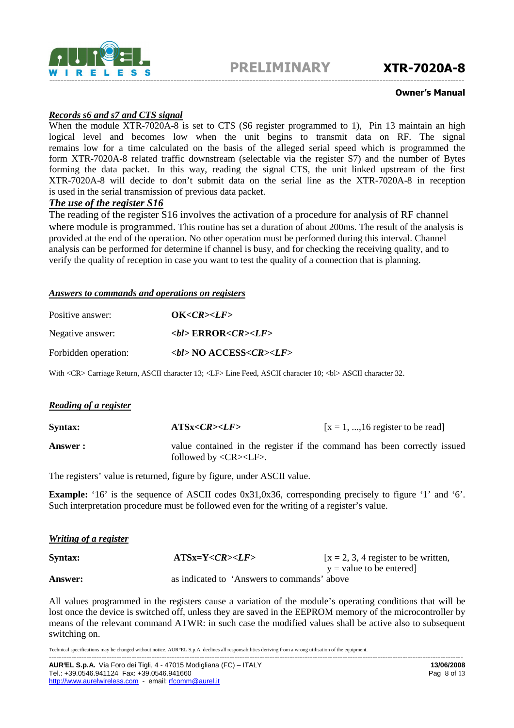

#### Owner's Manual

#### *Records s6 and s7 and CTS signal*

When the module XTR-7020A-8 is set to CTS (S6 register programmed to 1), Pin 13 maintain an high logical level and becomes low when the unit begins to transmit data on RF. The signal remains low for a time calculated on the basis of the alleged serial speed which is programmed the form XTR-7020A-8 related traffic downstream (selectable via the register S7) and the number of Bytes forming the data packet. In this way, reading the signal CTS, the unit linked upstream of the first XTR-7020A-8 will decide to don't submit data on the serial line as the XTR-7020A-8 in reception is used in the serial transmission of previous data packet.

#### *The use of the register S16*

The reading of the register S16 involves the activation of a procedure for analysis of RF channel where module is programmed. This routine has set a duration of about 200ms. The result of the analysis is provided at the end of the operation. No other operation must be performed during this interval. Channel analysis can be performed for determine if channel is busy, and for checking the receiving quality, and to verify the quality of reception in case you want to test the quality of a connection that is planning.

#### *Answers to commands and operations on registers*

| Positive answer:     | OK < CR > LF                                 |
|----------------------|----------------------------------------------|
| Negative answer:     | $sub$ ERROR <cr><math>&lt;</math>LF&gt;</cr> |
| Forbidden operation: | $>$ bl> NO ACCESS< <i>CR&gt;<lf></lf></i>    |

With <CR> Carriage Return, ASCII character 13; <LF> Line Feed, ASCII character 10; <br/> <br/> ASCII character 32.

#### *Reading of a register*

| <b>Syntax:</b> | ATS <sub>X</sub> <cr><sub>&gt;</sub><lf></lf></cr>    | $[x = 1, , 16$ register to be read                                       |
|----------------|-------------------------------------------------------|--------------------------------------------------------------------------|
| Answer:        | followed by $\langle CR \rangle \langle LF \rangle$ . | value contained in the register if the command has been correctly issued |

The registers' value is returned, figure by figure, under ASCII value.

**Example:** '16' is the sequence of ASCII codes 0x31,0x36, corresponding precisely to figure '1' and '6'. Such interpretation procedure must be followed even for the writing of a register's value.

#### *Writing of a register*

| <b>Syntax:</b> | $ATSx=Y$                                    | [ $x = 2, 3, 4$ register to be written, |
|----------------|---------------------------------------------|-----------------------------------------|
|                |                                             | $y =$ value to be entered               |
| <b>Answer:</b> | as indicated to 'Answers to commands' above |                                         |

All values programmed in the registers cause a variation of the module's operating conditions that will be lost once the device is switched off, unless they are saved in the EEPROM memory of the microcontroller by means of the relevant command ATWR: in such case the modified values shall be active also to subsequent switching on.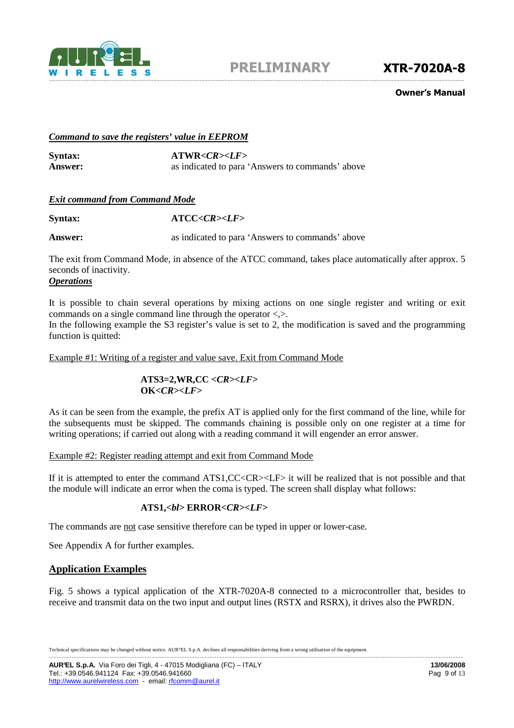

#### Owner's Manual

#### *Command to save the registers' value in EEPROM*

**Syntax: ATWR***<CR><LF>* Answer: as indicated to para 'Answers to commands' above

#### *Exit command from Command Mode*

Syntax: **ATCC**<*CR*><*LF*>

**Answer:** as indicated to para 'Answers to commands' above

The exit from Command Mode, in absence of the ATCC command, takes place automatically after approx. 5 seconds of inactivity.

#### *Operations*

It is possible to chain several operations by mixing actions on one single register and writing or exit commands on a single command line through the operator  $\langle \rangle$ .

In the following example the S3 register's value is set to 2, the modification is saved and the programming function is quitted:

Example #1: Writing of a register and value save. Exit from Command Mode

### **ATS3=2,WR,CC** *<CR><LF>*   **OK***<CR><LF>*

As it can be seen from the example, the prefix AT is applied only for the first command of the line, while for the subsequents must be skipped. The commands chaining is possible only on one register at a time for writing operations; if carried out along with a reading command it will engender an error answer.

#### Example #2: Register reading attempt and exit from Command Mode

If it is attempted to enter the command ATS1,CC<CR><LF> it will be realized that is not possible and that the module will indicate an error when the coma is typed. The screen shall display what follows:

### **ATS1,***<bl>* **ERROR***<CR><LF>*

The commands are not case sensitive therefore can be typed in upper or lower-case.

See Appendix A for further examples.

#### **Application Examples**

Fig. 5 shows a typical application of the XTR-7020A-8 connected to a microcontroller that, besides to receive and transmit data on the two input and output lines (RSTX and RSRX), it drives also the PWRDN.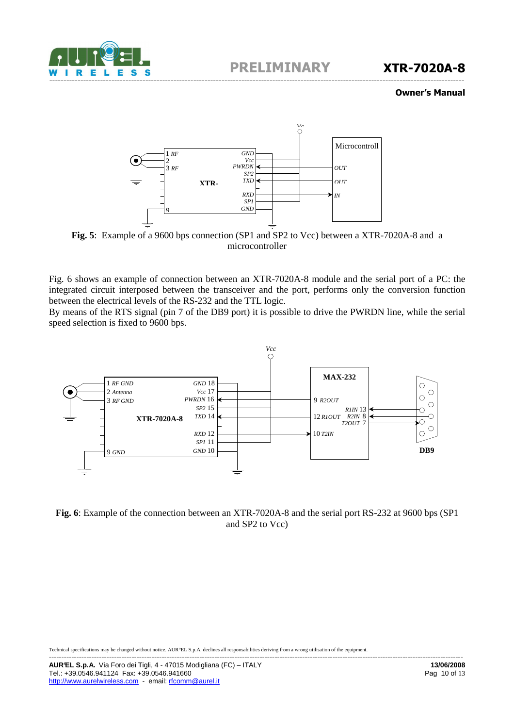

#### Owner's Manual



**Fig. 5**: Example of a 9600 bps connection (SP1 and SP2 to Vcc) between a XTR-7020A-8 and a microcontroller

Fig. 6 shows an example of connection between an XTR-7020A-8 module and the serial port of a PC: the integrated circuit interposed between the transceiver and the port, performs only the conversion function between the electrical levels of the RS-232 and the TTL logic.

By means of the RTS signal (pin 7 of the DB9 port) it is possible to drive the PWRDN line, while the serial speed selection is fixed to 9600 bps.



**Fig. 6**: Example of the connection between an XTR-7020A-8 and the serial port RS-232 at 9600 bps (SP1 and SP2 to Vcc)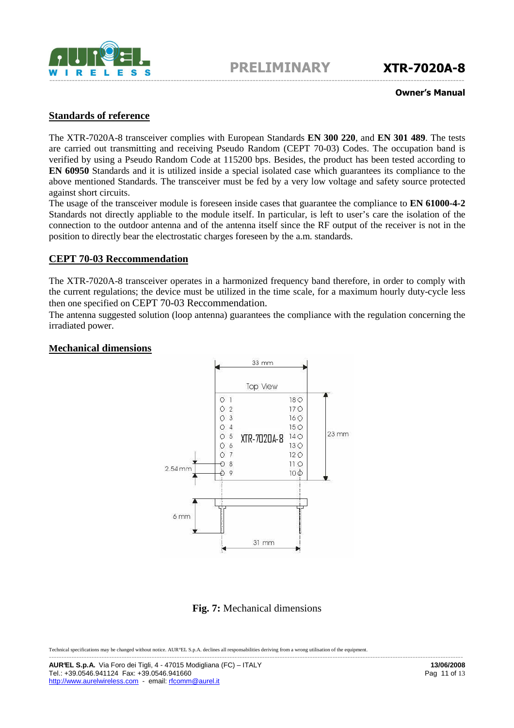

#### Owner's Manual

## **Standards of reference**

The XTR-7020A-8 transceiver complies with European Standards **EN 300 220**, and **EN 301 489**. The tests are carried out transmitting and receiving Pseudo Random (CEPT 70-03) Codes. The occupation band is verified by using a Pseudo Random Code at 115200 bps. Besides, the product has been tested according to **EN 60950** Standards and it is utilized inside a special isolated case which guarantees its compliance to the above mentioned Standards. The transceiver must be fed by a very low voltage and safety source protected against short circuits.

The usage of the transceiver module is foreseen inside cases that guarantee the compliance to **EN 61000-4-2** Standards not directly appliable to the module itself. In particular, is left to user's care the isolation of the connection to the outdoor antenna and of the antenna itself since the RF output of the receiver is not in the position to directly bear the electrostatic charges foreseen by the a.m. standards.

#### **CEPT 70-03 Reccommendation**

The XTR-7020A-8 transceiver operates in a harmonized frequency band therefore, in order to comply with the current regulations; the device must be utilized in the time scale, for a maximum hourly duty-cycle less then one specified on CEPT 70-03 Reccommendation.

The antenna suggested solution (loop antenna) guarantees the compliance with the regulation concerning the irradiated power.

#### **Mechanical dimensions**



# **Fig. 7:** Mechanical dimensions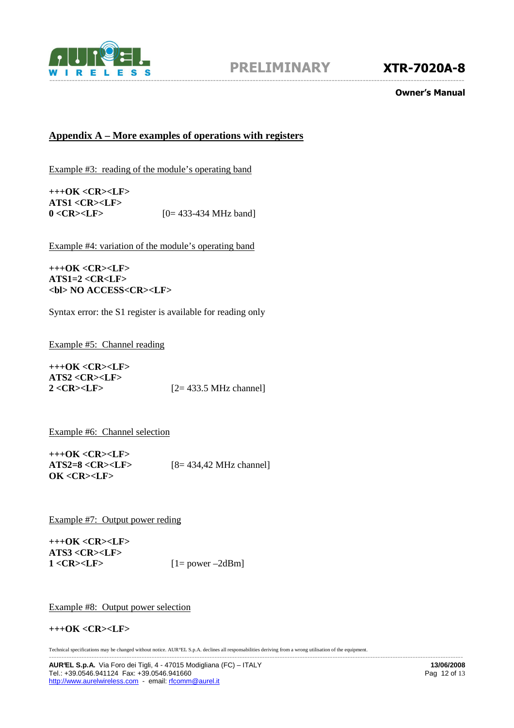

#### Owner's Manual

# **Appendix A – More examples of operations with registers**

Example #3: reading of the module's operating band

**+++OK <CR><LF> ATS1 <CR><LF> 0**<**CR**><**LF**>  $[0=433-434 \text{ MHz band}]$ 

Example #4: variation of the module's operating band

#### **+++OK <CR><LF> ATS1=2 <CR<LF> <bl> NO ACCESS<CR><LF>**

Syntax error: the S1 register is available for reading only

Example #5: Channel reading

**+++OK <CR><LF> ATS2 <CR><LF> 2 <CR><LF>** [2= 433.5 MHz channel]

Example #6: Channel selection

**+++OK <CR><LF> ATS2=8 <CR><LF>** [8= 434,42 MHz channel] **OK <CR><LF>** 

Example #7: Output power reding

**+++OK <CR><LF> ATS3 <CR><LF>**   $1 < CR > LF$   $[1 = power - 2dBm]$ 

Example #8: Output power selection

#### **+++OK <CR><LF>**